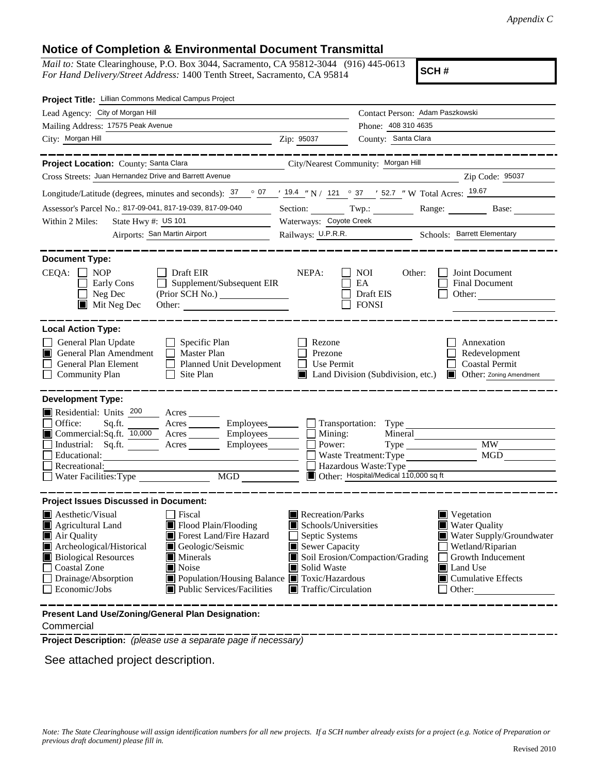## **Notice of Completion & Environmental Document Transmittal**

*Mail to:* State Clearinghouse, P.O. Box 3044, Sacramento, CA 95812-3044 (916) 445-0613 *For Hand Delivery/Street Address:* 1400 Tenth Street, Sacramento, CA 95814

**SCH #**

| Project Title: Lillian Commons Medical Campus Project                                                                                                                                                                                                                                                                                                                                                                                                                         |                                                                                                                                               |                                                                                                   |                                                                                                                                                                    |
|-------------------------------------------------------------------------------------------------------------------------------------------------------------------------------------------------------------------------------------------------------------------------------------------------------------------------------------------------------------------------------------------------------------------------------------------------------------------------------|-----------------------------------------------------------------------------------------------------------------------------------------------|---------------------------------------------------------------------------------------------------|--------------------------------------------------------------------------------------------------------------------------------------------------------------------|
| Lead Agency: City of Morgan Hill                                                                                                                                                                                                                                                                                                                                                                                                                                              |                                                                                                                                               | Contact Person: Adam Paszkowski                                                                   |                                                                                                                                                                    |
| Mailing Address: 17575 Peak Avenue                                                                                                                                                                                                                                                                                                                                                                                                                                            |                                                                                                                                               | Phone: 408 310 4635                                                                               |                                                                                                                                                                    |
| City: Morgan Hill                                                                                                                                                                                                                                                                                                                                                                                                                                                             | Zip: 95037                                                                                                                                    | County: Santa Clara                                                                               |                                                                                                                                                                    |
| Project Location: County: Santa Clara                                                                                                                                                                                                                                                                                                                                                                                                                                         | City/Nearest Community: Morgan Hill                                                                                                           |                                                                                                   |                                                                                                                                                                    |
| Cross Streets: Juan Hernandez Drive and Barrett Avenue                                                                                                                                                                                                                                                                                                                                                                                                                        |                                                                                                                                               |                                                                                                   | Zip Code: 95037                                                                                                                                                    |
| Longitude/Latitude (degrees, minutes and seconds): $\frac{37}{120}$ $\frac{07}{124}$ $\frac{19.4}{121}$ $\frac{19.4}{121}$ $\frac{0}{121}$ $\frac{0}{121}$ $\frac{0}{121}$ $\frac{0}{121}$ $\frac{0}{121}$ $\frac{0}{121}$ $\frac{0}{121}$ $\frac{0}{121}$ $\frac{0}{121}$ $\frac{0}{1$                                                                                                                                                                                       |                                                                                                                                               |                                                                                                   |                                                                                                                                                                    |
| Assessor's Parcel No.: 817-09-041, 817-19-039, 817-09-040                                                                                                                                                                                                                                                                                                                                                                                                                     |                                                                                                                                               | Section: $Twp:$                                                                                   | Range: $\frac{1}{\sqrt{1-\frac{1}{2}} \cdot \frac{1}{2}}$<br>Base:                                                                                                 |
| State Hwy #: US 101<br>Within 2 Miles:                                                                                                                                                                                                                                                                                                                                                                                                                                        |                                                                                                                                               | Waterways: Coyote Creek                                                                           |                                                                                                                                                                    |
| Airports: San Martin Airport                                                                                                                                                                                                                                                                                                                                                                                                                                                  |                                                                                                                                               | Railways: U.P.R.R. Schools: Barrett Elementary                                                    |                                                                                                                                                                    |
| <b>Document Type:</b><br>$CEQA: \Box NP$<br>$\Box$ Draft EIR<br>Supplement/Subsequent EIR<br>Early Cons<br>Neg Dec<br>$\blacksquare$ Mit Neg Dec                                                                                                                                                                                                                                                                                                                              | NEPA:                                                                                                                                         | <b>NOI</b><br>Other:<br>EA<br>Draft EIS<br><b>FONSI</b>                                           | Joint Document<br>Final Document<br>Other:                                                                                                                         |
| <b>Local Action Type:</b><br>General Plan Update<br>$\Box$ Specific Plan<br>General Plan Amendment<br>$\Box$ Master Plan<br>I I<br>Planned Unit Development<br>General Plan Element<br><b>Community Plan</b><br>$\Box$ Site Plan                                                                                                                                                                                                                                              | Rezone<br>Prezone<br>Use Permit<br>$\mathsf{L}$                                                                                               | Land Division (Subdivision, etc.)                                                                 | Annexation<br>Redevelopment<br><b>Coastal Permit</b><br>Other: Zoning Amendment                                                                                    |
| <b>Development Type:</b><br>Residential: Units 200<br>$\overline{\phantom{a}}$ Acres<br>Office:<br>Acres Employees Transportation: Type<br>Sq.ft.<br>■ Commercial:Sq.ft. 10,000 Acres ________ Employees ________ □ Mining:<br>Industrial: Sq.ft.<br>Acres <u>Community Employees</u><br>Educational:<br>Recreational:<br>MGD<br>Water Facilities: Type                                                                                                                       |                                                                                                                                               | Power:<br>Waste Treatment: Type<br>Hazardous Waste: Type<br>Other: Hospital/Medical 110,000 sq ft | MW.<br>MGD                                                                                                                                                         |
| <b>Project Issues Discussed in Document:</b><br><b>Aesthetic/Visual</b><br>Fiscal<br>Flood Plain/Flooding<br>$\blacksquare$ Agricultural Land<br>Forest Land/Fire Hazard<br>Air Quality<br>Archeological/Historical<br>Geologic/Seismic<br><b>Biological Resources</b><br>$\blacksquare$ Minerals<br><b>Coastal Zone</b><br>Noise<br>Drainage/Absorption<br>Population/Housing Balance <b>T</b> Toxic/Hazardous<br>Economic/Jobs<br>$\blacksquare$ Public Services/Facilities | Recreation/Parks<br>Schools/Universities<br>$\Box$ Septic Systems<br>Sewer Capacity<br>Solid Waste<br>ш<br>$\blacksquare$ Traffic/Circulation | Soil Erosion/Compaction/Grading                                                                   | Vegetation<br><b>Water Quality</b><br>Water Supply/Groundwater<br>Wetland/Riparian<br>Growth Inducement<br>Land Use<br>$\blacksquare$ Cumulative Effects<br>Other: |
| Present Land Use/Zoning/General Plan Designation:                                                                                                                                                                                                                                                                                                                                                                                                                             |                                                                                                                                               |                                                                                                   |                                                                                                                                                                    |

### Commercial

**Project Description:** *(please use a separate page if necessary)*

See attached project description.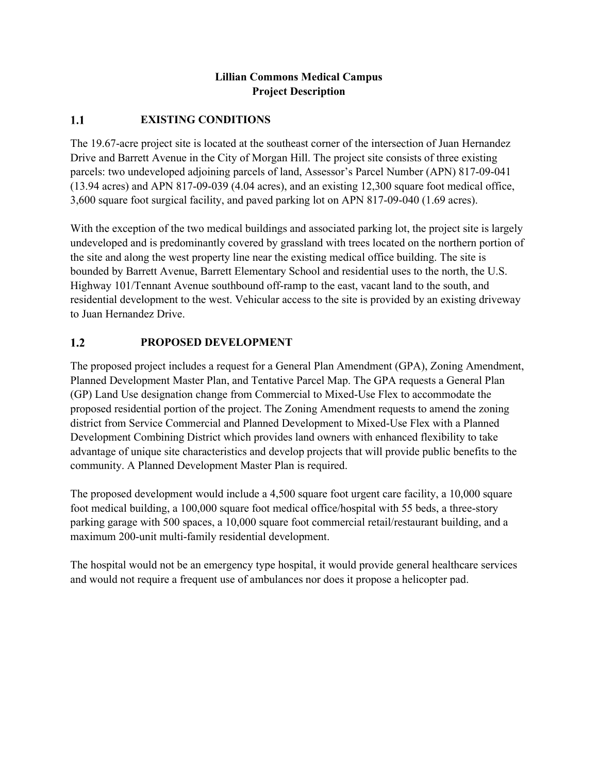# **Lillian Commons Medical Campus Project Description**

#### $1.1$ **EXISTING CONDITIONS**

The 19.67-acre project site is located at the southeast corner of the intersection of Juan Hernandez Drive and Barrett Avenue in the City of Morgan Hill. The project site consists of three existing parcels: two undeveloped adjoining parcels of land, Assessor's Parcel Number (APN) 817-09-041 (13.94 acres) and APN 817-09-039 (4.04 acres), and an existing 12,300 square foot medical office, 3,600 square foot surgical facility, and paved parking lot on APN 817-09-040 (1.69 acres).

With the exception of the two medical buildings and associated parking lot, the project site is largely undeveloped and is predominantly covered by grassland with trees located on the northern portion of the site and along the west property line near the existing medical office building. The site is bounded by Barrett Avenue, Barrett Elementary School and residential uses to the north, the U.S. Highway 101/Tennant Avenue southbound off-ramp to the east, vacant land to the south, and residential development to the west. Vehicular access to the site is provided by an existing driveway to Juan Hernandez Drive.

#### **PROPOSED DEVELOPMENT**  $1.2$

The proposed project includes a request for a General Plan Amendment (GPA), Zoning Amendment, Planned Development Master Plan, and Tentative Parcel Map. The GPA requests a General Plan (GP) Land Use designation change from Commercial to Mixed-Use Flex to accommodate the proposed residential portion of the project. The Zoning Amendment requests to amend the zoning district from Service Commercial and Planned Development to Mixed-Use Flex with a Planned Development Combining District which provides land owners with enhanced flexibility to take advantage of unique site characteristics and develop projects that will provide public benefits to the community. A Planned Development Master Plan is required.

The proposed development would include a 4,500 square foot urgent care facility, a 10,000 square foot medical building, a 100,000 square foot medical office/hospital with 55 beds, a three-story parking garage with 500 spaces, a 10,000 square foot commercial retail/restaurant building, and a maximum 200-unit multi-family residential development.

The hospital would not be an emergency type hospital, it would provide general healthcare services and would not require a frequent use of ambulances nor does it propose a helicopter pad.